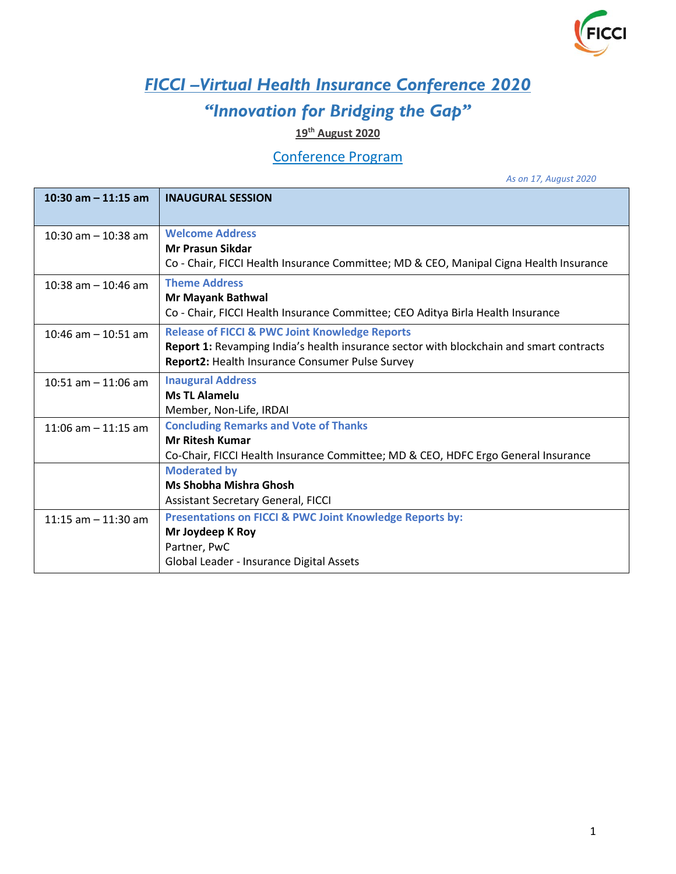

## *FICCI –Virtual Health Insurance Conference 2020*

## *"Innovation for Bridging the Gap"*

## **19th August 2020**

## Conference Program

*As on 17, August 2020*

| 10:30 am $-$ 11:15 am  | <b>INAUGURAL SESSION</b>                                                                |
|------------------------|-----------------------------------------------------------------------------------------|
|                        |                                                                                         |
| 10:30 am $-$ 10:38 am  | <b>Welcome Address</b>                                                                  |
|                        | <b>Mr Prasun Sikdar</b>                                                                 |
|                        | Co - Chair, FICCI Health Insurance Committee; MD & CEO, Manipal Cigna Health Insurance  |
| 10:38 am $-$ 10:46 am  | <b>Theme Address</b>                                                                    |
|                        | Mr Mayank Bathwal                                                                       |
|                        | Co - Chair, FICCI Health Insurance Committee; CEO Aditya Birla Health Insurance         |
| $10:46$ am $-10:51$ am | <b>Release of FICCI &amp; PWC Joint Knowledge Reports</b>                               |
|                        | Report 1: Revamping India's health insurance sector with blockchain and smart contracts |
|                        | Report2: Health Insurance Consumer Pulse Survey                                         |
| 10:51 am $-$ 11:06 am  | <b>Inaugural Address</b>                                                                |
|                        | <b>Ms TL Alamelu</b>                                                                    |
|                        | Member, Non-Life, IRDAI                                                                 |
| 11:06 am $-$ 11:15 am  | <b>Concluding Remarks and Vote of Thanks</b>                                            |
|                        | <b>Mr Ritesh Kumar</b>                                                                  |
|                        | Co-Chair, FICCI Health Insurance Committee; MD & CEO, HDFC Ergo General Insurance       |
|                        | <b>Moderated by</b>                                                                     |
|                        | <b>Ms Shobha Mishra Ghosh</b>                                                           |
|                        | <b>Assistant Secretary General, FICCI</b>                                               |
| 11:15 am $-$ 11:30 am  | <b>Presentations on FICCI &amp; PWC Joint Knowledge Reports by:</b>                     |
|                        | Mr Joydeep K Roy                                                                        |
|                        | Partner, PwC                                                                            |
|                        | Global Leader - Insurance Digital Assets                                                |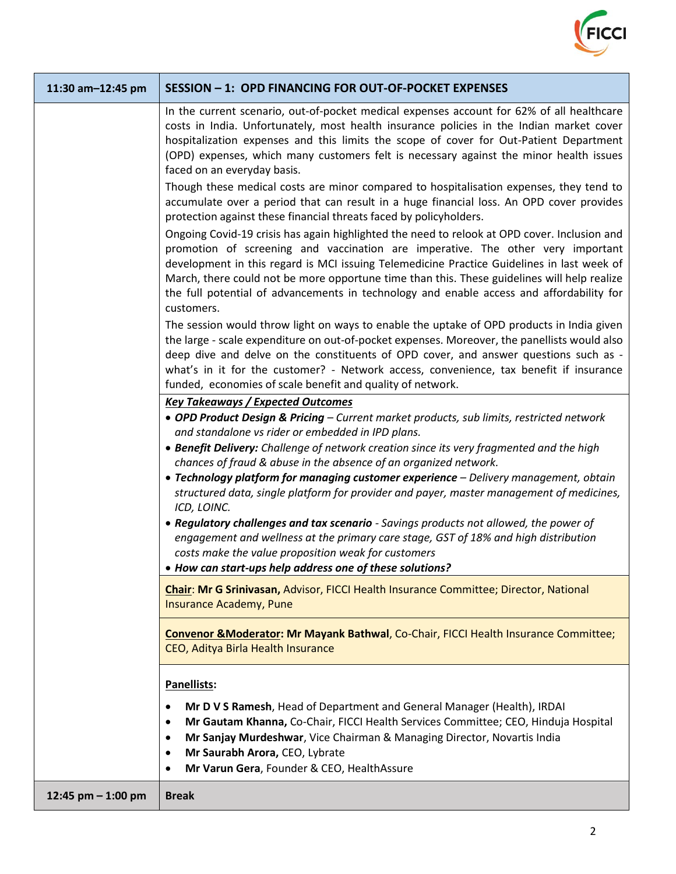

| 11:30 am-12:45 pm    | SESSION - 1: OPD FINANCING FOR OUT-OF-POCKET EXPENSES                                                                                                                                                                                                                                                                                                                                                                                                                                  |
|----------------------|----------------------------------------------------------------------------------------------------------------------------------------------------------------------------------------------------------------------------------------------------------------------------------------------------------------------------------------------------------------------------------------------------------------------------------------------------------------------------------------|
|                      | In the current scenario, out-of-pocket medical expenses account for 62% of all healthcare<br>costs in India. Unfortunately, most health insurance policies in the Indian market cover<br>hospitalization expenses and this limits the scope of cover for Out-Patient Department<br>(OPD) expenses, which many customers felt is necessary against the minor health issues<br>faced on an everyday basis.                                                                               |
|                      | Though these medical costs are minor compared to hospitalisation expenses, they tend to<br>accumulate over a period that can result in a huge financial loss. An OPD cover provides<br>protection against these financial threats faced by policyholders.                                                                                                                                                                                                                              |
|                      | Ongoing Covid-19 crisis has again highlighted the need to relook at OPD cover. Inclusion and<br>promotion of screening and vaccination are imperative. The other very important<br>development in this regard is MCI issuing Telemedicine Practice Guidelines in last week of<br>March, there could not be more opportune time than this. These guidelines will help realize<br>the full potential of advancements in technology and enable access and affordability for<br>customers. |
|                      | The session would throw light on ways to enable the uptake of OPD products in India given<br>the large - scale expenditure on out-of-pocket expenses. Moreover, the panellists would also<br>deep dive and delve on the constituents of OPD cover, and answer questions such as -<br>what's in it for the customer? - Network access, convenience, tax benefit if insurance<br>funded, economies of scale benefit and quality of network.                                              |
|                      | <b>Key Takeaways / Expected Outcomes</b><br>• OPD Product Design & Pricing - Current market products, sub limits, restricted network                                                                                                                                                                                                                                                                                                                                                   |
|                      | and standalone vs rider or embedded in IPD plans.                                                                                                                                                                                                                                                                                                                                                                                                                                      |
|                      | • Benefit Delivery: Challenge of network creation since its very fragmented and the high<br>chances of fraud & abuse in the absence of an organized network.                                                                                                                                                                                                                                                                                                                           |
|                      | • Technology platform for managing customer experience - Delivery management, obtain<br>structured data, single platform for provider and payer, master management of medicines,<br>ICD, LOINC.                                                                                                                                                                                                                                                                                        |
|                      | • Regulatory challenges and tax scenario - Savings products not allowed, the power of<br>engagement and wellness at the primary care stage, GST of 18% and high distribution<br>costs make the value proposition weak for customers                                                                                                                                                                                                                                                    |
|                      | . How can start-ups help address one of these solutions?                                                                                                                                                                                                                                                                                                                                                                                                                               |
|                      | Chair: Mr G Srinivasan, Advisor, FICCI Health Insurance Committee; Director, National<br><b>Insurance Academy, Pune</b>                                                                                                                                                                                                                                                                                                                                                                |
|                      | <b>Convenor &amp; Moderator: Mr Mayank Bathwal, Co-Chair, FICCI Health Insurance Committee;</b><br>CEO, Aditya Birla Health Insurance                                                                                                                                                                                                                                                                                                                                                  |
|                      | Panellists:                                                                                                                                                                                                                                                                                                                                                                                                                                                                            |
|                      | Mr D V S Ramesh, Head of Department and General Manager (Health), IRDAI<br>$\bullet$<br>Mr Gautam Khanna, Co-Chair, FICCI Health Services Committee; CEO, Hinduja Hospital<br>$\bullet$<br>Mr Sanjay Murdeshwar, Vice Chairman & Managing Director, Novartis India<br>٠<br>Mr Saurabh Arora, CEO, Lybrate<br>$\bullet$<br>Mr Varun Gera, Founder & CEO, HealthAssure<br>$\bullet$                                                                                                      |
| 12:45 pm $-$ 1:00 pm | <b>Break</b>                                                                                                                                                                                                                                                                                                                                                                                                                                                                           |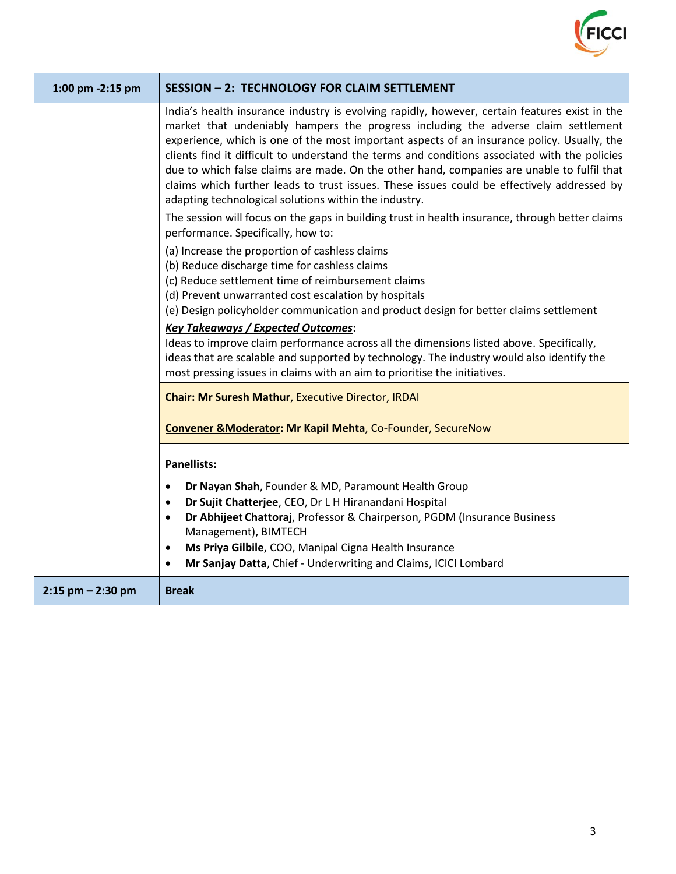

| 1:00 pm -2:15 pm      | <b>SESSION - 2: TECHNOLOGY FOR CLAIM SETTLEMENT</b>                                                                                                                                                                                                                                                                                                                                                                                                                                                                                                                                                                                      |
|-----------------------|------------------------------------------------------------------------------------------------------------------------------------------------------------------------------------------------------------------------------------------------------------------------------------------------------------------------------------------------------------------------------------------------------------------------------------------------------------------------------------------------------------------------------------------------------------------------------------------------------------------------------------------|
|                       | India's health insurance industry is evolving rapidly, however, certain features exist in the<br>market that undeniably hampers the progress including the adverse claim settlement<br>experience, which is one of the most important aspects of an insurance policy. Usually, the<br>clients find it difficult to understand the terms and conditions associated with the policies<br>due to which false claims are made. On the other hand, companies are unable to fulfil that<br>claims which further leads to trust issues. These issues could be effectively addressed by<br>adapting technological solutions within the industry. |
|                       | The session will focus on the gaps in building trust in health insurance, through better claims<br>performance. Specifically, how to:                                                                                                                                                                                                                                                                                                                                                                                                                                                                                                    |
|                       | (a) Increase the proportion of cashless claims<br>(b) Reduce discharge time for cashless claims<br>(c) Reduce settlement time of reimbursement claims<br>(d) Prevent unwarranted cost escalation by hospitals<br>(e) Design policyholder communication and product design for better claims settlement                                                                                                                                                                                                                                                                                                                                   |
|                       | <b>Key Takeaways / Expected Outcomes:</b><br>Ideas to improve claim performance across all the dimensions listed above. Specifically,<br>ideas that are scalable and supported by technology. The industry would also identify the<br>most pressing issues in claims with an aim to prioritise the initiatives.                                                                                                                                                                                                                                                                                                                          |
|                       | <b>Chair: Mr Suresh Mathur, Executive Director, IRDAI</b>                                                                                                                                                                                                                                                                                                                                                                                                                                                                                                                                                                                |
|                       | <b>Convener &amp; Moderator: Mr Kapil Mehta, Co-Founder, SecureNow</b>                                                                                                                                                                                                                                                                                                                                                                                                                                                                                                                                                                   |
|                       | Panellists:<br>Dr Nayan Shah, Founder & MD, Paramount Health Group<br>$\bullet$<br>Dr Sujit Chatterjee, CEO, Dr L H Hiranandani Hospital<br>$\bullet$<br>Dr Abhijeet Chattoraj, Professor & Chairperson, PGDM (Insurance Business<br>Management), BIMTECH<br>Ms Priya Gilbile, COO, Manipal Cigna Health Insurance<br>٠<br>Mr Sanjay Datta, Chief - Underwriting and Claims, ICICI Lombard<br>$\bullet$                                                                                                                                                                                                                                  |
| $2:15$ pm $- 2:30$ pm | <b>Break</b>                                                                                                                                                                                                                                                                                                                                                                                                                                                                                                                                                                                                                             |